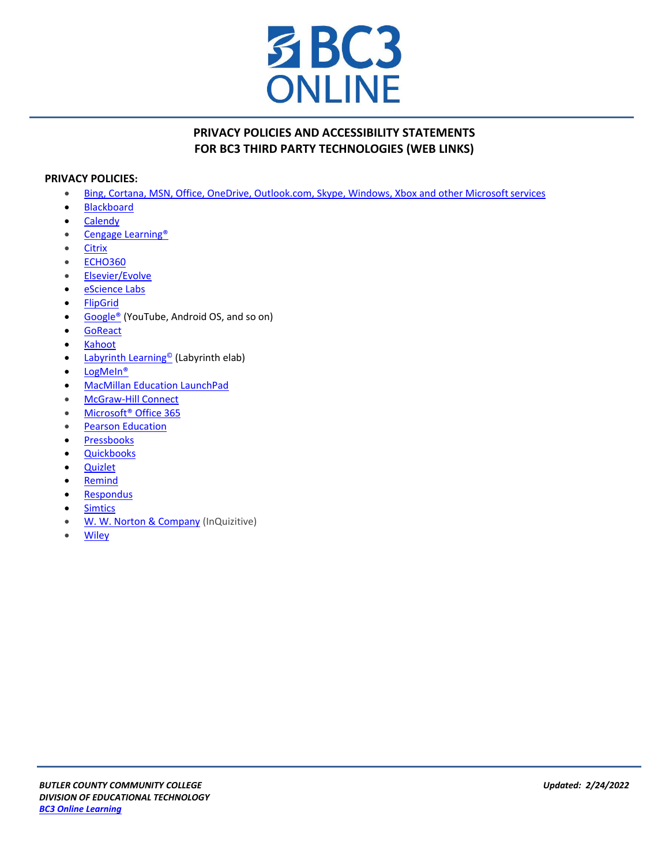

## **PRIVACY POLICIES AND ACCESSIBILITY STATEMENTS FOR BC3 THIRD PARTY TECHNOLOGIES (WEB LINKS)**

## **PRIVACY POLICIES:**

- [Bing, Cortana, MSN, Office, OneDrive, Outlook.com, Skype, Windows, Xbox and other Microsoftservices](https://www.microsoft.com/en-us/privacystatement/default.aspx)
- [Blackboard](https://help.blackboard.com/Privacy_Statement)
- [Calendy](https://calendly.com/privacy)
- [Cengage Learning®](http://www.cengage.com/privacy/)
- [Citrix](http://www.citrix.com/about/legal/citrix-online-privacy-policy-en.html)
- [ECHO360](https://echo360.org/legal/privacy_policy)
- [Elsevier/Evolve](https://www.elsevier.com/legal/privacy-policy)
- [eScience Labs](http://esciencelabs.com/our-security-policy)
- [FlipGrid](https://info.flipgrid.com/about/terms.html)
- [Google®](https://www.google.com/intl/en/policies/privacy/) (YouTube, Android OS, and so on)
- [GoReact](https://get.goreact.com/privacy/)
- [Kahoot](https://trust.kahoot.com/privacy-policy/)
- [Labyrinth Learning](http://www.lablearning.com/Privacy-Policies/)<sup>©</sup> (Labyrinth elab)
- LogMeIn<sup>®</sup>
- [MacMillan Education LaunchPad](http://www.macmillanhighered.com/Catalog/other/privacy)
- [McGraw-Hill Connect](https://www.mheonline.com/pages/display/privacynotice_view)
- Microsoft<sup>®</sup> Office 365
- **Pearson Education**
- [Pressbooks](https://pressbooks.com/wp-content/uploads/2021/04/Pressbooks-EDU-Privacy-Policy_March_2021.docx.pdf)
- [Quickbooks](https://www.intuit.com/privacy/)
- [Quizlet](https://quizlet.com/privacy)
- [Remind](https://www.remind.com/trust-safety)
- [Respondus](http://www.respondus.com/about/privacy.shtml)
- [Simtics](https://www.simtics.com/privacy/)
- [W. W. Norton & Company](http://books.wwnorton.com/books/privacy/) (InQuizitive)
- [Wiley](https://www.wiley.com/en-us/privacy)